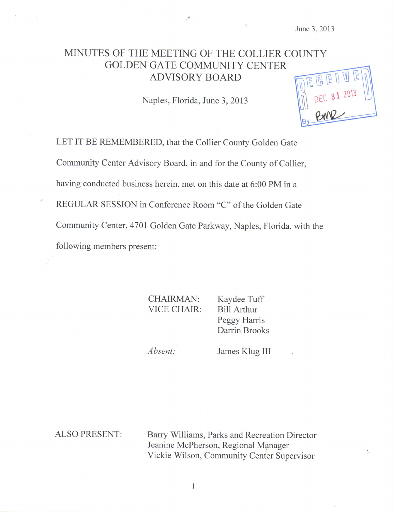# MINUTES OF THE MEETING OF THE COLLIER COUNTY GOLDEN GATE COMMUNITY CENTER **ADVISORY BOARD**

Naples, Florida, June 3, 2013

 $U$ 

LET IT BE REMEMBERED, that the Collier County Golden Gate Community Center Advisory Board, in and for the County of Collier, having conducted business herein, met on this date at 6:00 PM in a REGULAR SESSION in Conference Room "C" of the Golden Gate Community Center, 4701 Golden Gate Parkway, Naples, Florida, with the following members present:

> CHAIRMAN: VICE CHAIR

Kaydee Tuff Bill Arthur Peggy Harris Darrin Brooks

Absent

James Klug III

ALSO PRESENT: Barry Williams, Parks and Recreation Director Jeanine McPherson, Regional Manager Vickie Wilson, Community Center Supervisor

1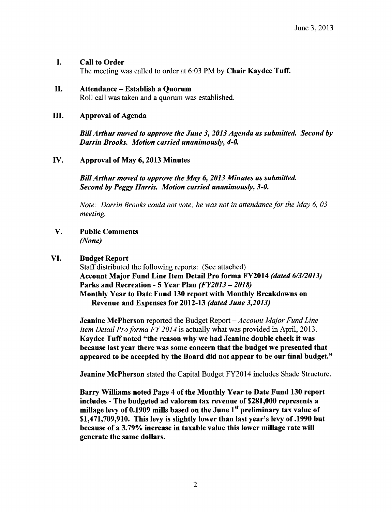### I. Call to Order

The meeting was called to order at 6:03 PM by Chair Kaydee Tuff.

#### II. Attendance — Establish <sup>a</sup> Quorum

Roll call was taken and a quorum was established.

#### III. Approval of Agenda

Bill Arthur moved to approve the June 3, 2013 Agenda as submitted. Second by Darrin Brooks. Motion carried unanimously, 4-0.

### IV. Approval of May 6, 2013 Minutes

BillArthur moved to approve the May 6, 2013 Minutes as submitted. Second by Peggy Harris. Motion carried unanimously, 3-0.

Note: Darrin Brooks could not vote; he was not in attendance for the May 6, 03 meeting.

## V. Public Comments None)

### VI. Budget Report

Staff distributed the following reports: ( See attached) Account Major Fund Line Item Detail Pro forma FY2014 (dated 6/3/2013) Parks and Recreation - 5 Year Plan (FY2013 — 2018) Monthly Year to Date Fund 130 report with Monthly Breakdowns on Revenue and Expenses for 2012-13 (dated June 3,2013)

**Jeanine McPherson** reported the Budget Report – Account Major Fund Line Item Detail Pro forma FY 2014 is actually what was provided in April, 2013. Kaydee Tuff noted "the reason why we had Jeanine double check it was because last year there was some concern that the budget we presented that appeared to be accepted by the Board did not appear to be our final budget."

Jeanine McPherson stated the Capital Budget FY2014 includes Shade Structure.

Barry Williams noted Page 4 of the Monthly Year to Date Fund 130 report includes - The budgeted ad valorem tax revenue of \$281, 000 represents a millage levy of 0.1909 mills based on the June 1<sup>st</sup> preliminary tax value of  $$1,471,709,910$ . This levy is slightly lower than last year's levy of  $.1990$  but because of <sup>a</sup> 3. 79% increase in taxable value this lower millage rate will generate the same dollars.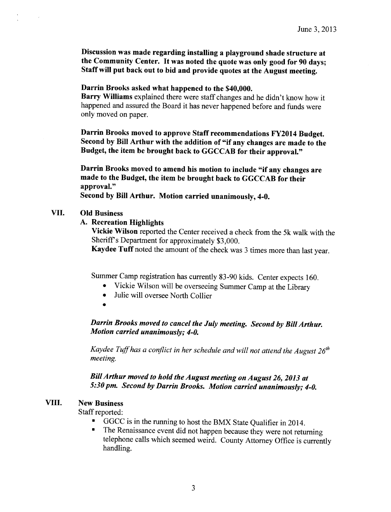Discussion was made regarding installing a playground shade structure at the Community Center. It was noted the quote was only good for <sup>90</sup> days; Staff will put back out to bid and provide quotes at the August meeting.

#### Darrin Brooks asked what happened to the \$40,000.

Barry Williams explained there were staff changes and he didn't know how it happened and assured the Board it has never happened before and funds were only moved on paper.

Darrin Brooks moved to approve Staff recommendations FY2014 Budget. Second by Bill Arthur with the addition of "if any changes are made to the Budget, the item be brought back to GGCCAB for their approval."

Darrin Brooks moved to amend his motion to include "if any changes are made to the Budget, the item be brought back to GGCCAB for their approval."

Second by Bill Arthur. Motion carried unanimously, 4 -0.

#### VII. Old Business

# A. Recreation Highlights

Vickie Wilson reported the Center received a check from the 5k walk with the Sheriff's Department for approximately \$3,000.

Kaydee Tuff noted the amount of the check was 3 times more than last year.

Summer Camp registration has currently 83 -90 kids. Center expects 160.

- Vickie Wilson will be overseeing Summer Camp at the Library  $\bullet$
- Julie will oversee North Collier  $\bullet$
- 

Darrin Brooks moved to cancel the July meeting. Second by Bill Arthur. Motion carried unanimously; 4-0.

Kaydee Tuff has a conflict in her schedule and will not attend the August  $26^{th}$ meeting.

BillArthur moved to hold the August meeting on August 26, 2013 at 5:30 pm. Second by Darrin Brooks. Motion carried unanimously; 4-0.

#### VIII. New Business

Staff reported:

- $\blacksquare$ GGCC is in the running to host the BMX State Qualifier in 2014.
- The Renaissance event did not happen because they were not returning telephone calls which seemed weird. County Attorney Office is currently handling.